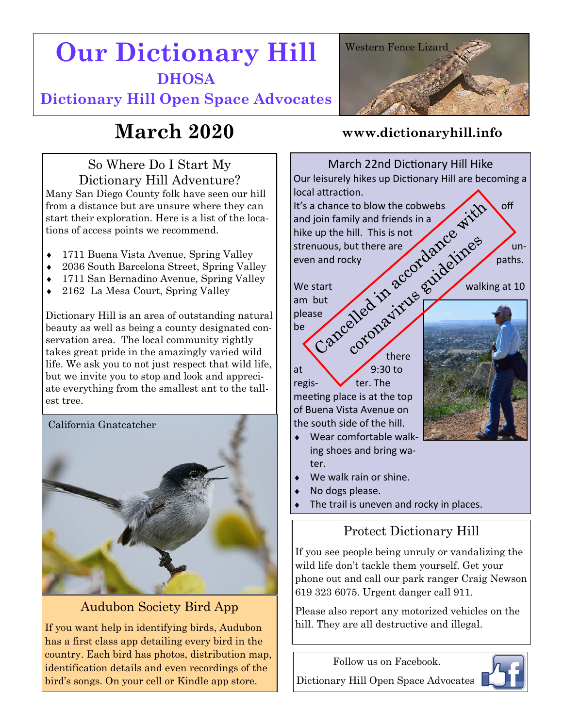# **Our Dictionary Hill DHOSA**

**Dictionary Hill Open Space Advocates**



## **March 2020**

### So Where Do I Start My Dictionary Hill Adventure?

Many San Diego County folk have seen our hill from a distance but are unsure where they can start their exploration. Here is a list of the locations of access points we recommend.

- 1711 Buena Vista Avenue, Spring Valley
- 2036 South Barcelona Street, Spring Valley
- 1711 San Bernadino Avenue, Spring Valley
- 2162 La Mesa Court, Spring Valley

Dictionary Hill is an area of outstanding natural beauty as well as being a county designated conservation area. The local community rightly takes great pride in the amazingly varied wild life. We ask you to not just respect that wild life, but we invite you to stop and look and appreciate everything from the smallest ant to the tallest tree.



## Audubon Society Bird App

If you want help in identifying birds, Audubon has a first class app detailing every bird in the country. Each bird has photos, distribution map, identification details and even recordings of the bird's songs. On your cell or Kindle app store.

#### **www.dictionaryhill.info**



- ter.
- We walk rain or shine.
- No dogs please.
- The trail is uneven and rocky in places.

## Protect Dictionary Hill

If you see people being unruly or vandalizing the wild life don't tackle them yourself. Get your phone out and call our park ranger Craig Newson 619 323 6075. Urgent danger call 911.

Please also report any motorized vehicles on the hill. They are all destructive and illegal.

Follow us on Facebook. Dictionary Hill Open Space Advocates